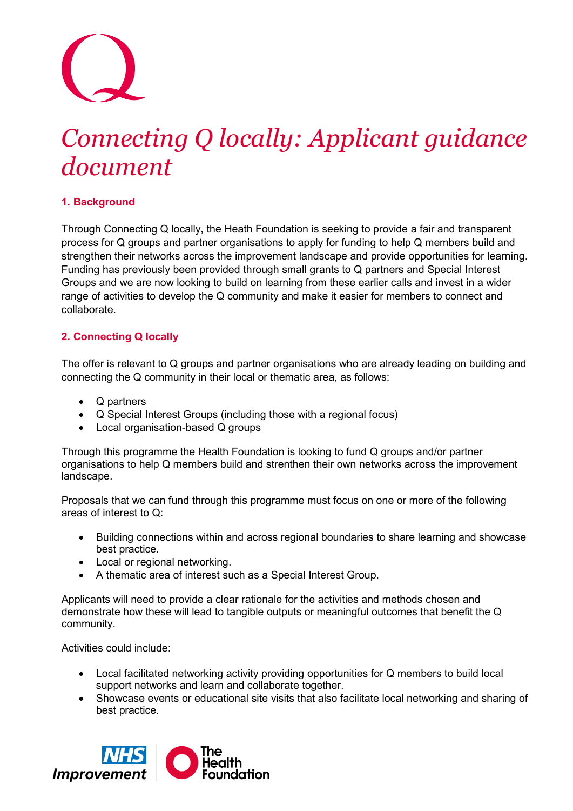# *Connecting Q locally: Applicant guidance document*

# **1. Background**

Through Connecting Q locally, the Heath Foundation is seeking to provide a fair and transparent process for Q groups and partner organisations to apply for funding to help Q members build and strengthen their networks across the improvement landscape and provide opportunities for learning. Funding has previously been provided through small grants to Q partners and Special Interest Groups and we are now looking to build on learning from these earlier calls and invest in a wider range of activities to develop the Q community and make it easier for members to connect and collaborate.

# **2. Connecting Q locally**

The offer is relevant to Q groups and partner organisations who are already leading on building and connecting the Q community in their local or thematic area, as follows:

- Q partners
- Q Special Interest Groups (including those with a regional focus)
- Local organisation-based Q groups

Through this programme the Health Foundation is looking to fund Q groups and/or partner organisations to help Q members build and strenthen their own networks across the improvement landscape.

Proposals that we can fund through this programme must focus on one or more of the following areas of interest to Q:

- Building connections within and across regional boundaries to share learning and showcase best practice.
- Local or regional networking.
- A thematic area of interest such as a Special Interest Group.

Applicants will need to provide a clear rationale for the activities and methods chosen and demonstrate how these will lead to tangible outputs or meaningful outcomes that benefit the Q community.

Activities could include:

- Local facilitated networking activity providing opportunities for Q members to build local support networks and learn and collaborate together.
- Showcase events or educational site visits that also facilitate local networking and sharing of best practice.

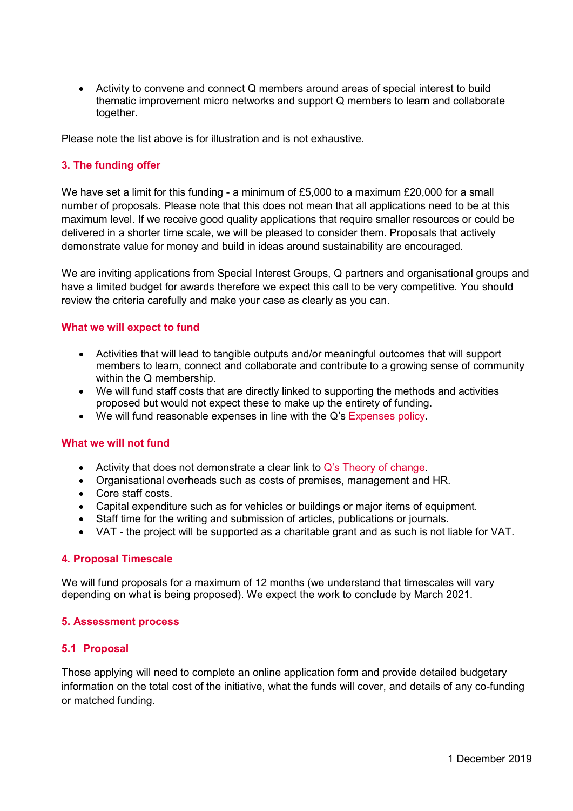• Activity to convene and connect Q members around areas of special interest to build thematic improvement micro networks and support Q members to learn and collaborate together.

Please note the list above is for illustration and is not exhaustive.

# **3. The funding offer**

We have set a limit for this funding - a minimum of £5,000 to a maximum £20,000 for a small number of proposals. Please note that this does not mean that all applications need to be at this maximum level. If we receive good quality applications that require smaller resources or could be delivered in a shorter time scale, we will be pleased to consider them. Proposals that actively demonstrate value for money and build in ideas around sustainability are encouraged.

We are inviting applications from Special Interest Groups, Q partners and organisational groups and have a limited budget for awards therefore we expect this call to be very competitive. You should review the criteria carefully and make your case as clearly as you can.

### **What we will expect to fund**

- Activities that will lead to tangible outputs and/or meaningful outcomes that will support members to learn, connect and collaborate and contribute to a growing sense of community within the Q membership.
- We will fund staff costs that are directly linked to supporting the methods and activities proposed but would not expect these to make up the entirety of funding.
- We will fund reasonable expenses in line with the Q's [Expenses policy.](https://s20056.pcdn.co/wp-content/uploads/2018/08/Q-Expense-Policy.pdf)

### **What we will not fund**

- Activity that does not demonstrate a clear link to Q's [Theory of change.](https://q.health.org.uk/about/q-theory-of-change/)
- Organisational overheads such as costs of premises, management and HR.
- Core staff costs.
- Capital expenditure such as for vehicles or buildings or major items of equipment.
- Staff time for the writing and submission of articles, publications or journals.
- VAT the project will be supported as a charitable grant and as such is not liable for VAT.

### **4. Proposal Timescale**

We will fund proposals for a maximum of 12 months (we understand that timescales will vary depending on what is being proposed). We expect the work to conclude by March 2021.

### **5. Assessment process**

### **5.1 Proposal**

Those applying will need to complete an online application form and provide detailed budgetary information on the total cost of the initiative, what the funds will cover, and details of any co-funding or matched funding.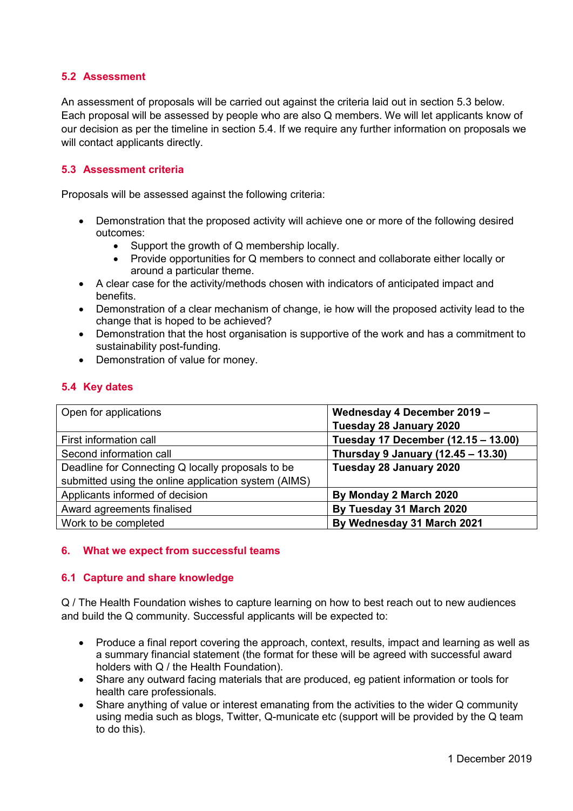# **5.2 Assessment**

An assessment of proposals will be carried out against the criteria laid out in section 5.3 below. Each proposal will be assessed by people who are also Q members. We will let applicants know of our decision as per the timeline in section 5.4. If we require any further information on proposals we will contact applicants directly.

# **5.3 Assessment criteria**

Proposals will be assessed against the following criteria:

- Demonstration that the proposed activity will achieve one or more of the following desired outcomes:
	- Support the growth of Q membership locally.
	- Provide opportunities for Q members to connect and collaborate either locally or around a particular theme.
- A clear case for the activity/methods chosen with indicators of anticipated impact and benefits.
- Demonstration of a clear mechanism of change, ie how will the proposed activity lead to the change that is hoped to be achieved?
- Demonstration that the host organisation is supportive of the work and has a commitment to sustainability post-funding.
- Demonstration of value for money.

# **5.4 Key dates**

| Open for applications                                | Wednesday 4 December 2019 -         |
|------------------------------------------------------|-------------------------------------|
|                                                      | Tuesday 28 January 2020             |
| First information call                               | Tuesday 17 December (12.15 - 13.00) |
| Second information call                              | Thursday 9 January (12.45 - 13.30)  |
| Deadline for Connecting Q locally proposals to be    | Tuesday 28 January 2020             |
| submitted using the online application system (AIMS) |                                     |
| Applicants informed of decision                      | By Monday 2 March 2020              |
| Award agreements finalised                           | By Tuesday 31 March 2020            |
| Work to be completed                                 | By Wednesday 31 March 2021          |

# **6. What we expect from successful teams**

# **6.1 Capture and share knowledge**

Q / The Health Foundation wishes to capture learning on how to best reach out to new audiences and build the Q community. Successful applicants will be expected to:

- Produce a final report covering the approach, context, results, impact and learning as well as a summary financial statement (the format for these will be agreed with successful award holders with Q / the Health Foundation).
- Share any outward facing materials that are produced, eg patient information or tools for health care professionals.
- Share anything of value or interest emanating from the activities to the wider Q community using media such as blogs, Twitter, Q-municate etc (support will be provided by the Q team to do this).